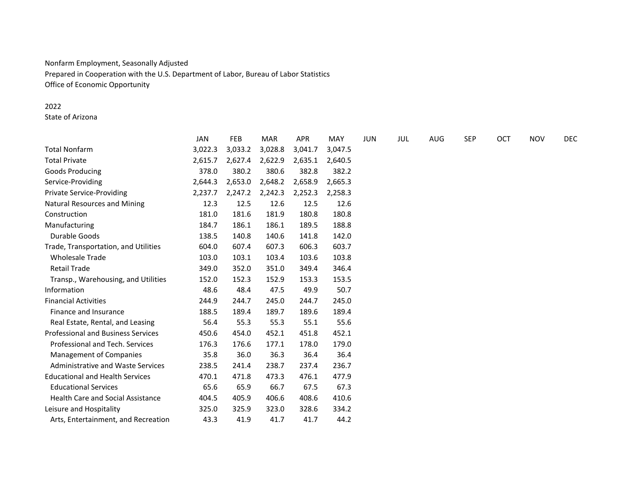# Nonfarm Employment, Seasonally Adjusted Prepared in Cooperation with the U.S. Department of Labor, Bureau of Labor Statistics Office of Economic Opportunity

## 2022

State of Arizona

|                                           | <b>JAN</b> | <b>FEB</b> | <b>MAR</b> | <b>APR</b> | MAY     | <b>JUN</b> | JUL | AUG | <b>SEP</b> | OCT | <b>NOV</b> | DEC |
|-------------------------------------------|------------|------------|------------|------------|---------|------------|-----|-----|------------|-----|------------|-----|
| <b>Total Nonfarm</b>                      | 3,022.3    | 3,033.2    | 3,028.8    | 3,041.7    | 3,047.5 |            |     |     |            |     |            |     |
| <b>Total Private</b>                      | 2,615.7    | 2,627.4    | 2,622.9    | 2,635.1    | 2,640.5 |            |     |     |            |     |            |     |
| Goods Producing                           | 378.0      | 380.2      | 380.6      | 382.8      | 382.2   |            |     |     |            |     |            |     |
| Service-Providing                         | 2,644.3    | 2,653.0    | 2,648.2    | 2,658.9    | 2,665.3 |            |     |     |            |     |            |     |
| <b>Private Service-Providing</b>          | 2,237.7    | 2,247.2    | 2,242.3    | 2,252.3    | 2,258.3 |            |     |     |            |     |            |     |
| <b>Natural Resources and Mining</b>       | 12.3       | 12.5       | 12.6       | 12.5       | 12.6    |            |     |     |            |     |            |     |
| Construction                              | 181.0      | 181.6      | 181.9      | 180.8      | 180.8   |            |     |     |            |     |            |     |
| Manufacturing                             | 184.7      | 186.1      | 186.1      | 189.5      | 188.8   |            |     |     |            |     |            |     |
| Durable Goods                             | 138.5      | 140.8      | 140.6      | 141.8      | 142.0   |            |     |     |            |     |            |     |
| Trade, Transportation, and Utilities      | 604.0      | 607.4      | 607.3      | 606.3      | 603.7   |            |     |     |            |     |            |     |
| <b>Wholesale Trade</b>                    | 103.0      | 103.1      | 103.4      | 103.6      | 103.8   |            |     |     |            |     |            |     |
| <b>Retail Trade</b>                       | 349.0      | 352.0      | 351.0      | 349.4      | 346.4   |            |     |     |            |     |            |     |
| Transp., Warehousing, and Utilities       | 152.0      | 152.3      | 152.9      | 153.3      | 153.5   |            |     |     |            |     |            |     |
| Information                               | 48.6       | 48.4       | 47.5       | 49.9       | 50.7    |            |     |     |            |     |            |     |
| <b>Financial Activities</b>               | 244.9      | 244.7      | 245.0      | 244.7      | 245.0   |            |     |     |            |     |            |     |
| Finance and Insurance                     | 188.5      | 189.4      | 189.7      | 189.6      | 189.4   |            |     |     |            |     |            |     |
| Real Estate, Rental, and Leasing          | 56.4       | 55.3       | 55.3       | 55.1       | 55.6    |            |     |     |            |     |            |     |
| <b>Professional and Business Services</b> | 450.6      | 454.0      | 452.1      | 451.8      | 452.1   |            |     |     |            |     |            |     |
| Professional and Tech. Services           | 176.3      | 176.6      | 177.1      | 178.0      | 179.0   |            |     |     |            |     |            |     |
| Management of Companies                   | 35.8       | 36.0       | 36.3       | 36.4       | 36.4    |            |     |     |            |     |            |     |
| Administrative and Waste Services         | 238.5      | 241.4      | 238.7      | 237.4      | 236.7   |            |     |     |            |     |            |     |
| <b>Educational and Health Services</b>    | 470.1      | 471.8      | 473.3      | 476.1      | 477.9   |            |     |     |            |     |            |     |
| <b>Educational Services</b>               | 65.6       | 65.9       | 66.7       | 67.5       | 67.3    |            |     |     |            |     |            |     |
| <b>Health Care and Social Assistance</b>  | 404.5      | 405.9      | 406.6      | 408.6      | 410.6   |            |     |     |            |     |            |     |
| Leisure and Hospitality                   | 325.0      | 325.9      | 323.0      | 328.6      | 334.2   |            |     |     |            |     |            |     |
| Arts, Entertainment, and Recreation       | 43.3       | 41.9       | 41.7       | 41.7       | 44.2    |            |     |     |            |     |            |     |
|                                           |            |            |            |            |         |            |     |     |            |     |            |     |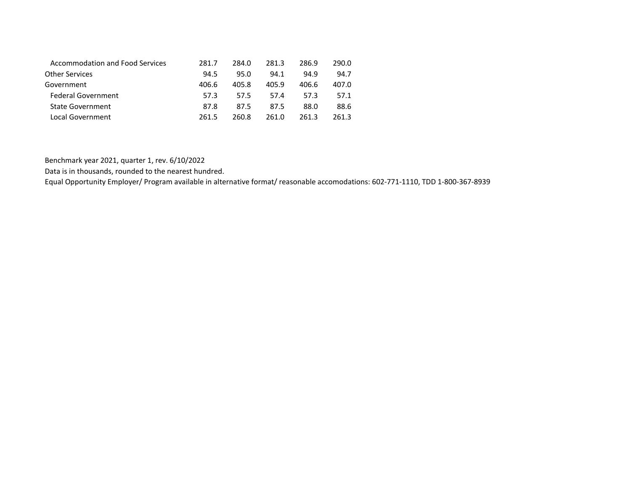| <b>Accommodation and Food Services</b> | 281.7 | 284.0 | 281.3 | 286.9 | 290.0 |
|----------------------------------------|-------|-------|-------|-------|-------|
| <b>Other Services</b>                  | 94.5  | 95.0  | 94.1  | 94.9  | 94.7  |
| Government                             | 406.6 | 405.8 | 405.9 | 406.6 | 407.0 |
| Federal Government                     | 57.3  | 57.5  | 57.4  | 57.3  | 57.1  |
| <b>State Government</b>                | 87.8  | 87.5  | 87.5  | 88.0  | 88.6  |
| Local Government                       | 261.5 | 260.8 | 261.0 | 261 3 | 261 3 |

Benchmark year 2021, quarter 1, rev. 6/10/2022

Data is in thousands, rounded to the nearest hundred.

Equal Opportunity Employer/ Program available in alternative format/ reasonable accomodations: 602-771-1110, TDD 1-800-367-8939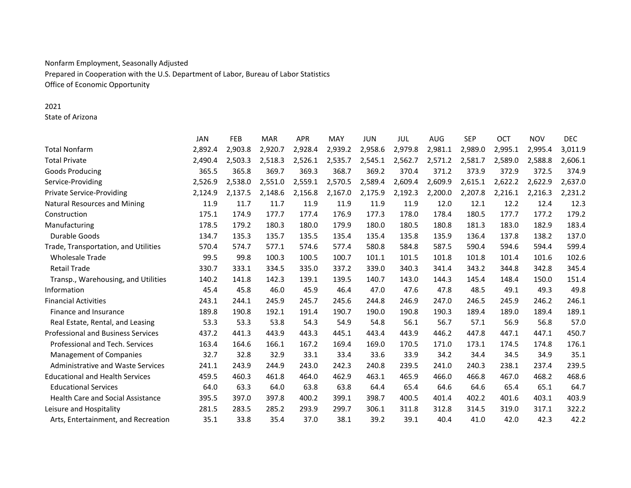# Nonfarm Employment, Seasonally Adjusted Prepared in Cooperation with the U.S. Department of Labor, Bureau of Labor Statistics Office of Economic Opportunity

## 2021

State of Arizona

|                                           | <b>JAN</b> | <b>FEB</b> | <b>MAR</b> | <b>APR</b> | <b>MAY</b> | <b>JUN</b> | JUL     | <b>AUG</b> | <b>SEP</b> | <b>OCT</b> | <b>NOV</b> | <b>DEC</b> |
|-------------------------------------------|------------|------------|------------|------------|------------|------------|---------|------------|------------|------------|------------|------------|
| <b>Total Nonfarm</b>                      | 2,892.4    | 2,903.8    | 2,920.7    | 2,928.4    | 2,939.2    | 2,958.6    | 2,979.8 | 2,981.1    | 2,989.0    | 2,995.1    | 2,995.4    | 3,011.9    |
| <b>Total Private</b>                      | 2,490.4    | 2,503.3    | 2,518.3    | 2,526.1    | 2,535.7    | 2,545.1    | 2,562.7 | 2,571.2    | 2,581.7    | 2,589.0    | 2,588.8    | 2,606.1    |
| Goods Producing                           | 365.5      | 365.8      | 369.7      | 369.3      | 368.7      | 369.2      | 370.4   | 371.2      | 373.9      | 372.9      | 372.5      | 374.9      |
| Service-Providing                         | 2,526.9    | 2,538.0    | 2,551.0    | 2,559.1    | 2,570.5    | 2,589.4    | 2,609.4 | 2,609.9    | 2,615.1    | 2,622.2    | 2,622.9    | 2,637.0    |
| <b>Private Service-Providing</b>          | 2,124.9    | 2,137.5    | 2,148.6    | 2,156.8    | 2,167.0    | 2,175.9    | 2,192.3 | 2,200.0    | 2,207.8    | 2,216.1    | 2,216.3    | 2,231.2    |
| <b>Natural Resources and Mining</b>       | 11.9       | 11.7       | 11.7       | 11.9       | 11.9       | 11.9       | 11.9    | 12.0       | 12.1       | 12.2       | 12.4       | 12.3       |
| Construction                              | 175.1      | 174.9      | 177.7      | 177.4      | 176.9      | 177.3      | 178.0   | 178.4      | 180.5      | 177.7      | 177.2      | 179.2      |
| Manufacturing                             | 178.5      | 179.2      | 180.3      | 180.0      | 179.9      | 180.0      | 180.5   | 180.8      | 181.3      | 183.0      | 182.9      | 183.4      |
| Durable Goods                             | 134.7      | 135.3      | 135.7      | 135.5      | 135.4      | 135.4      | 135.8   | 135.9      | 136.4      | 137.8      | 138.2      | 137.0      |
| Trade, Transportation, and Utilities      | 570.4      | 574.7      | 577.1      | 574.6      | 577.4      | 580.8      | 584.8   | 587.5      | 590.4      | 594.6      | 594.4      | 599.4      |
| <b>Wholesale Trade</b>                    | 99.5       | 99.8       | 100.3      | 100.5      | 100.7      | 101.1      | 101.5   | 101.8      | 101.8      | 101.4      | 101.6      | 102.6      |
| <b>Retail Trade</b>                       | 330.7      | 333.1      | 334.5      | 335.0      | 337.2      | 339.0      | 340.3   | 341.4      | 343.2      | 344.8      | 342.8      | 345.4      |
| Transp., Warehousing, and Utilities       | 140.2      | 141.8      | 142.3      | 139.1      | 139.5      | 140.7      | 143.0   | 144.3      | 145.4      | 148.4      | 150.0      | 151.4      |
| Information                               | 45.4       | 45.8       | 46.0       | 45.9       | 46.4       | 47.0       | 47.6    | 47.8       | 48.5       | 49.1       | 49.3       | 49.8       |
| <b>Financial Activities</b>               | 243.1      | 244.1      | 245.9      | 245.7      | 245.6      | 244.8      | 246.9   | 247.0      | 246.5      | 245.9      | 246.2      | 246.1      |
| Finance and Insurance                     | 189.8      | 190.8      | 192.1      | 191.4      | 190.7      | 190.0      | 190.8   | 190.3      | 189.4      | 189.0      | 189.4      | 189.1      |
| Real Estate, Rental, and Leasing          | 53.3       | 53.3       | 53.8       | 54.3       | 54.9       | 54.8       | 56.1    | 56.7       | 57.1       | 56.9       | 56.8       | 57.0       |
| <b>Professional and Business Services</b> | 437.2      | 441.3      | 443.9      | 443.3      | 445.1      | 443.4      | 443.9   | 446.2      | 447.8      | 447.1      | 447.1      | 450.7      |
| Professional and Tech. Services           | 163.4      | 164.6      | 166.1      | 167.2      | 169.4      | 169.0      | 170.5   | 171.0      | 173.1      | 174.5      | 174.8      | 176.1      |
| <b>Management of Companies</b>            | 32.7       | 32.8       | 32.9       | 33.1       | 33.4       | 33.6       | 33.9    | 34.2       | 34.4       | 34.5       | 34.9       | 35.1       |
| Administrative and Waste Services         | 241.1      | 243.9      | 244.9      | 243.0      | 242.3      | 240.8      | 239.5   | 241.0      | 240.3      | 238.1      | 237.4      | 239.5      |
| <b>Educational and Health Services</b>    | 459.5      | 460.3      | 461.8      | 464.0      | 462.9      | 463.1      | 465.9   | 466.0      | 466.8      | 467.0      | 468.2      | 468.6      |
| <b>Educational Services</b>               | 64.0       | 63.3       | 64.0       | 63.8       | 63.8       | 64.4       | 65.4    | 64.6       | 64.6       | 65.4       | 65.1       | 64.7       |
| <b>Health Care and Social Assistance</b>  | 395.5      | 397.0      | 397.8      | 400.2      | 399.1      | 398.7      | 400.5   | 401.4      | 402.2      | 401.6      | 403.1      | 403.9      |
| Leisure and Hospitality                   | 281.5      | 283.5      | 285.2      | 293.9      | 299.7      | 306.1      | 311.8   | 312.8      | 314.5      | 319.0      | 317.1      | 322.2      |
| Arts, Entertainment, and Recreation       | 35.1       | 33.8       | 35.4       | 37.0       | 38.1       | 39.2       | 39.1    | 40.4       | 41.0       | 42.0       | 42.3       | 42.2       |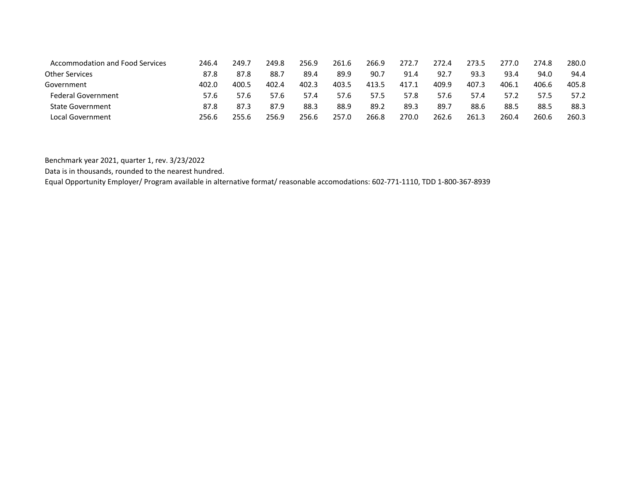| Accommodation and Food Services | 246.4 | 249.7 | 249.8 | 256.9 | 261.6 | 266.9 | 272.7 | 272.4 | 273.5 | 277.0 | 274.8 | 280.0 |
|---------------------------------|-------|-------|-------|-------|-------|-------|-------|-------|-------|-------|-------|-------|
| Other Services                  | 87.8  | 87.8  | 88.7  | 89.4  | 89.9  | 90.7  | 91.4  | 92.7  | 93.3  | 93.4  | 94.0  | 94.4  |
| Government                      | 402.0 | 400.5 | 402.4 | 402.3 | 403.5 | 413.5 | 417.1 | 409.9 | 407.3 | 406.1 | 406.6 | 405.8 |
| <b>Federal Government</b>       | 57.6  | 57.6  | 57.6  | 57.4  | 57.6  | 57.5  | 57.8  | 57.6  | 57.4  | 57.2  | 57.5  | 57.2  |
| <b>State Government</b>         | 87.8  | 87.3  | 87.9  | 88.3  | 88.9  | 89.2  | 89.3  | 89.7  | 88.6  | 88.5  | 88.5  | 88.3  |
| Local Government                | 256.6 | 255.6 | 256.9 | 256.6 | 257.0 | 266.8 | 270.0 | 262.6 | 261.3 | 260.4 | 260.6 | 260.3 |

Benchmark year 2021, quarter 1, rev. 3/23/2022

Data is in thousands, rounded to the nearest hundred.

Equal Opportunity Employer/ Program available in alternative format/ reasonable accomodations: 602-771-1110, TDD 1-800-367-8939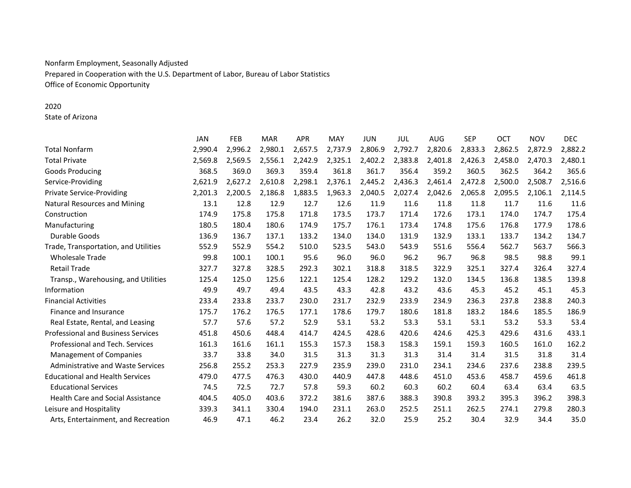# Nonfarm Employment, Seasonally Adjusted Prepared in Cooperation with the U.S. Department of Labor, Bureau of Labor Statistics Office of Economic Opportunity

## 2020

State of Arizona

|                                           | <b>JAN</b> | <b>FEB</b> | <b>MAR</b> | <b>APR</b> | MAY     | <b>JUN</b> | JUL     | <b>AUG</b> | <b>SEP</b> | <b>OCT</b> | <b>NOV</b> | <b>DEC</b> |
|-------------------------------------------|------------|------------|------------|------------|---------|------------|---------|------------|------------|------------|------------|------------|
| <b>Total Nonfarm</b>                      | 2.990.4    | 2,996.2    | 2,980.1    | 2,657.5    | 2,737.9 | 2,806.9    | 2,792.7 | 2,820.6    | 2,833.3    | 2,862.5    | 2,872.9    | 2,882.2    |
| <b>Total Private</b>                      | 2,569.8    | 2,569.5    | 2,556.1    | 2,242.9    | 2,325.1 | 2,402.2    | 2,383.8 | 2,401.8    | 2,426.3    | 2,458.0    | 2,470.3    | 2,480.1    |
| Goods Producing                           | 368.5      | 369.0      | 369.3      | 359.4      | 361.8   | 361.7      | 356.4   | 359.2      | 360.5      | 362.5      | 364.2      | 365.6      |
| Service-Providing                         | 2,621.9    | 2,627.2    | 2,610.8    | 2,298.1    | 2,376.1 | 2,445.2    | 2,436.3 | 2,461.4    | 2,472.8    | 2,500.0    | 2,508.7    | 2,516.6    |
| <b>Private Service-Providing</b>          | 2,201.3    | 2,200.5    | 2,186.8    | 1,883.5    | 1,963.3 | 2,040.5    | 2,027.4 | 2,042.6    | 2,065.8    | 2,095.5    | 2,106.1    | 2,114.5    |
| <b>Natural Resources and Mining</b>       | 13.1       | 12.8       | 12.9       | 12.7       | 12.6    | 11.9       | 11.6    | 11.8       | 11.8       | 11.7       | 11.6       | 11.6       |
| Construction                              | 174.9      | 175.8      | 175.8      | 171.8      | 173.5   | 173.7      | 171.4   | 172.6      | 173.1      | 174.0      | 174.7      | 175.4      |
| Manufacturing                             | 180.5      | 180.4      | 180.6      | 174.9      | 175.7   | 176.1      | 173.4   | 174.8      | 175.6      | 176.8      | 177.9      | 178.6      |
| Durable Goods                             | 136.9      | 136.7      | 137.1      | 133.2      | 134.0   | 134.0      | 131.9   | 132.9      | 133.1      | 133.7      | 134.2      | 134.7      |
| Trade, Transportation, and Utilities      | 552.9      | 552.9      | 554.2      | 510.0      | 523.5   | 543.0      | 543.9   | 551.6      | 556.4      | 562.7      | 563.7      | 566.3      |
| <b>Wholesale Trade</b>                    | 99.8       | 100.1      | 100.1      | 95.6       | 96.0    | 96.0       | 96.2    | 96.7       | 96.8       | 98.5       | 98.8       | 99.1       |
| <b>Retail Trade</b>                       | 327.7      | 327.8      | 328.5      | 292.3      | 302.1   | 318.8      | 318.5   | 322.9      | 325.1      | 327.4      | 326.4      | 327.4      |
| Transp., Warehousing, and Utilities       | 125.4      | 125.0      | 125.6      | 122.1      | 125.4   | 128.2      | 129.2   | 132.0      | 134.5      | 136.8      | 138.5      | 139.8      |
| Information                               | 49.9       | 49.7       | 49.4       | 43.5       | 43.3    | 42.8       | 43.2    | 43.6       | 45.3       | 45.2       | 45.1       | 45.3       |
| <b>Financial Activities</b>               | 233.4      | 233.8      | 233.7      | 230.0      | 231.7   | 232.9      | 233.9   | 234.9      | 236.3      | 237.8      | 238.8      | 240.3      |
| Finance and Insurance                     | 175.7      | 176.2      | 176.5      | 177.1      | 178.6   | 179.7      | 180.6   | 181.8      | 183.2      | 184.6      | 185.5      | 186.9      |
| Real Estate, Rental, and Leasing          | 57.7       | 57.6       | 57.2       | 52.9       | 53.1    | 53.2       | 53.3    | 53.1       | 53.1       | 53.2       | 53.3       | 53.4       |
| <b>Professional and Business Services</b> | 451.8      | 450.6      | 448.4      | 414.7      | 424.5   | 428.6      | 420.6   | 424.6      | 425.3      | 429.6      | 431.6      | 433.1      |
| Professional and Tech. Services           | 161.3      | 161.6      | 161.1      | 155.3      | 157.3   | 158.3      | 158.3   | 159.1      | 159.3      | 160.5      | 161.0      | 162.2      |
| <b>Management of Companies</b>            | 33.7       | 33.8       | 34.0       | 31.5       | 31.3    | 31.3       | 31.3    | 31.4       | 31.4       | 31.5       | 31.8       | 31.4       |
| <b>Administrative and Waste Services</b>  | 256.8      | 255.2      | 253.3      | 227.9      | 235.9   | 239.0      | 231.0   | 234.1      | 234.6      | 237.6      | 238.8      | 239.5      |
| <b>Educational and Health Services</b>    | 479.0      | 477.5      | 476.3      | 430.0      | 440.9   | 447.8      | 448.6   | 451.0      | 453.6      | 458.7      | 459.6      | 461.8      |
| <b>Educational Services</b>               | 74.5       | 72.5       | 72.7       | 57.8       | 59.3    | 60.2       | 60.3    | 60.2       | 60.4       | 63.4       | 63.4       | 63.5       |
| <b>Health Care and Social Assistance</b>  | 404.5      | 405.0      | 403.6      | 372.2      | 381.6   | 387.6      | 388.3   | 390.8      | 393.2      | 395.3      | 396.2      | 398.3      |
| Leisure and Hospitality                   | 339.3      | 341.1      | 330.4      | 194.0      | 231.1   | 263.0      | 252.5   | 251.1      | 262.5      | 274.1      | 279.8      | 280.3      |
| Arts, Entertainment, and Recreation       | 46.9       | 47.1       | 46.2       | 23.4       | 26.2    | 32.0       | 25.9    | 25.2       | 30.4       | 32.9       | 34.4       | 35.0       |